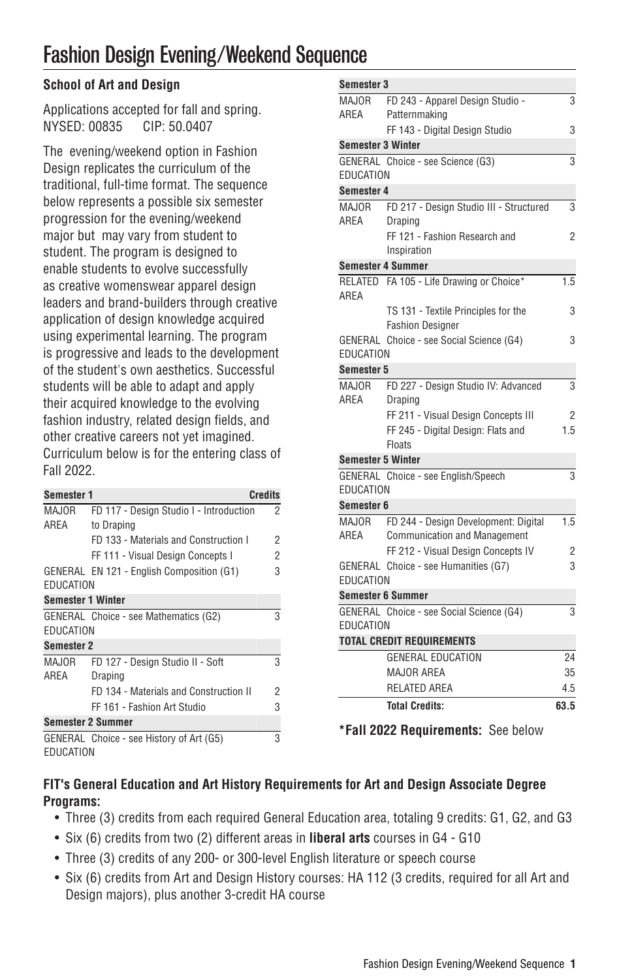# Fashion Design Evening/Weekend Sequence

## **School of Art and Design**

Applications accepted for fall and spring. NYSED: 00835 CIP: 50.0407

The evening/weekend option in Fashion Design replicates the curriculum of the traditional, full-time format. The sequence below represents a possible six semester progression for the evening/weekend major but may vary from student to student. The program is designed to enable students to evolve successfully as creative womenswear apparel design leaders and brand-builders through creative application of design knowledge acquired using experimental learning. The program is progressive and leads to the development of the student's own aesthetics. Successful students will be able to adapt and apply their acquired knowledge to the evolving fashion industry, related design fields, and other creative careers not yet imagined. Curriculum below is for the entering class of Fall 2022.

| Semester 1               |                                           | <b>Credits</b> |  |
|--------------------------|-------------------------------------------|----------------|--|
| MAJOR                    | FD 117 - Design Studio I - Introduction   | $\overline{2}$ |  |
| AREA                     | to Draping                                |                |  |
|                          | FD 133 - Materials and Construction I     | 2              |  |
|                          | FF 111 - Visual Design Concepts I         | $\overline{2}$ |  |
|                          | GENERAL EN 121 - English Composition (G1) | 3              |  |
| <b>EDUCATION</b>         |                                           |                |  |
| <b>Semester 1 Winter</b> |                                           |                |  |
|                          | GENERAL Choice - see Mathematics (G2)     | 3              |  |
| EDUCATION                |                                           |                |  |
| Semester 2               |                                           |                |  |
| MAJOR                    | FD 127 - Design Studio II - Soft          | 3              |  |
| AREA                     | Draping                                   |                |  |
|                          | FD 134 - Materials and Construction II    | 2              |  |
|                          | FF 161 - Fashion Art Studio               | 3              |  |
| <b>Semester 2 Summer</b> |                                           |                |  |
|                          | GENERAL Choice - see History of Art (G5)  | 3              |  |
| <b>EDUCATION</b>         |                                           |                |  |

| FD 243 - Apparel Design Studio -           | 3                        |
|--------------------------------------------|--------------------------|
|                                            |                          |
| FF 143 - Digital Design Studio             | 3                        |
|                                            |                          |
| GENERAL Choice - see Science (G3)          | 3                        |
|                                            |                          |
| FD 217 - Design Studio III - Structured    | 3                        |
|                                            |                          |
| FF 121 - Fashion Research and              | $\overline{2}$           |
|                                            |                          |
| RELATED FA 105 - Life Drawing or Choice*   | 1.5                      |
|                                            |                          |
| TS 131 - Textile Principles for the        | 3                        |
| GENERAL Choice - see Social Science (G4)   | 3                        |
|                                            |                          |
| FD 227 - Design Studio IV: Advanced        | 3                        |
|                                            |                          |
| FF 211 - Visual Design Concepts III        | 2                        |
| FF 245 - Digital Design: Flats and         | 1.5                      |
|                                            |                          |
|                                            | 3                        |
| GENERAL Choice - see English/Speech        |                          |
|                                            |                          |
| MAJOR FD 244 - Design Development: Digital | 1.5                      |
| <b>Communication and Management</b>        |                          |
| FF 212 - Visual Design Concepts IV         | 2                        |
| GENERAL Choice - see Humanities (G7)       | 3                        |
|                                            |                          |
|                                            |                          |
| GENERAL Choice - see Social Science (G4)   | 3                        |
| <b>TOTAL CREDIT REQUIREMENTS</b>           |                          |
|                                            | 24                       |
|                                            | 35                       |
|                                            | 4.5                      |
|                                            | 63.5                     |
|                                            | <b>GENERAL EDUCATION</b> |

**\*Fall 2022 Requirements:** See below

### **FIT's General Education and Art History Requirements for Art and Design Associate Degree Programs:**

- Three (3) credits from each required General Education area, totaling 9 credits: G1, G2, and G3
- Six (6) credits from two (2) different areas in **liberal arts** courses in G4 G10
- Three (3) credits of any 200- or 300-level English literature or speech course
- Six (6) credits from Art and Design History courses: HA 112 (3 credits, required for all Art and Design majors), plus another 3-credit HA course